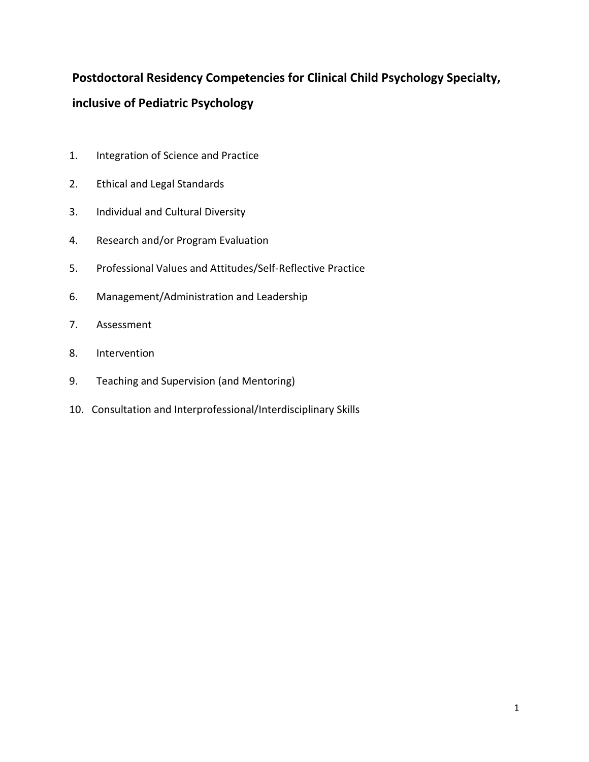# **Postdoctoral Residency Competencies for Clinical Child Psychology Specialty, inclusive of Pediatric Psychology**

- 1. Integration of Science and Practice
- 2. Ethical and Legal Standards
- 3. Individual and Cultural Diversity
- 4. Research and/or Program Evaluation
- 5. Professional Values and Attitudes/Self-Reflective Practice
- 6. Management/Administration and Leadership
- 7. Assessment
- 8. Intervention
- 9. Teaching and Supervision (and Mentoring)
- 10. Consultation and Interprofessional/Interdisciplinary Skills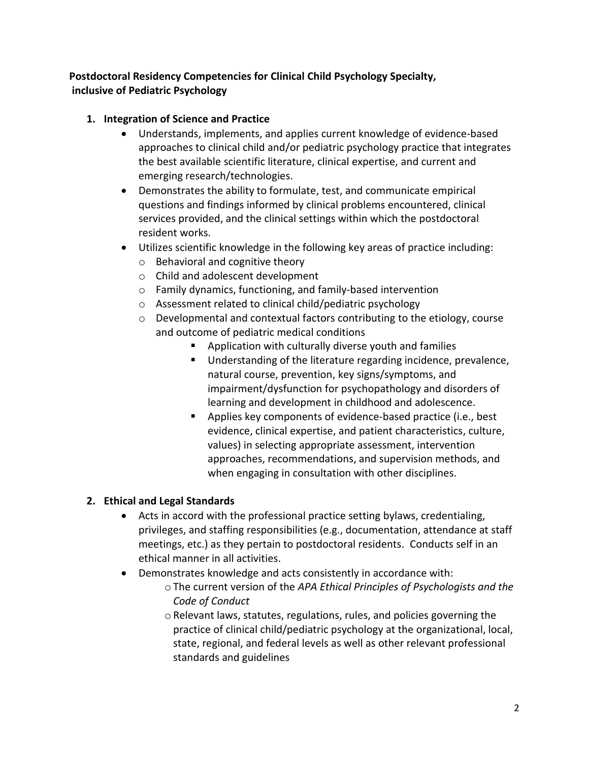# **Postdoctoral Residency Competencies for Clinical Child Psychology Specialty, inclusive of Pediatric Psychology**

#### **1. Integration of Science and Practice**

- Understands, implements, and applies current knowledge of evidence-based approaches to clinical child and/or pediatric psychology practice that integrates the best available scientific literature, clinical expertise, and current and emerging research/technologies.
- Demonstrates the ability to formulate, test, and communicate empirical questions and findings informed by clinical problems encountered, clinical services provided, and the clinical settings within which the postdoctoral resident works.
- Utilizes scientific knowledge in the following key areas of practice including:
	- o Behavioral and cognitive theory
	- o Child and adolescent development
	- o Family dynamics, functioning, and family-based intervention
	- o Assessment related to clinical child/pediatric psychology
	- $\circ$  Developmental and contextual factors contributing to the etiology, course and outcome of pediatric medical conditions
		- Application with culturally diverse youth and families
		- Understanding of the literature regarding incidence, prevalence, natural course, prevention, key signs/symptoms, and impairment/dysfunction for psychopathology and disorders of learning and development in childhood and adolescence.
		- Applies key components of evidence-based practice (i.e., best evidence, clinical expertise, and patient characteristics, culture, values) in selecting appropriate assessment, intervention approaches, recommendations, and supervision methods, and when engaging in consultation with other disciplines.

#### **2. Ethical and Legal Standards**

- Acts in accord with the professional practice setting bylaws, credentialing, privileges, and staffing responsibilities (e.g., documentation, attendance at staff meetings, etc.) as they pertain to postdoctoral residents. Conducts self in an ethical manner in all activities.
- Demonstrates knowledge and acts consistently in accordance with:
	- o The current version of the *APA Ethical Principles of Psychologists and the Code of Conduct*
	- o Relevant laws, statutes, regulations, rules, and policies governing the practice of clinical child/pediatric psychology at the organizational, local, state, regional, and federal levels as well as other relevant professional standards and guidelines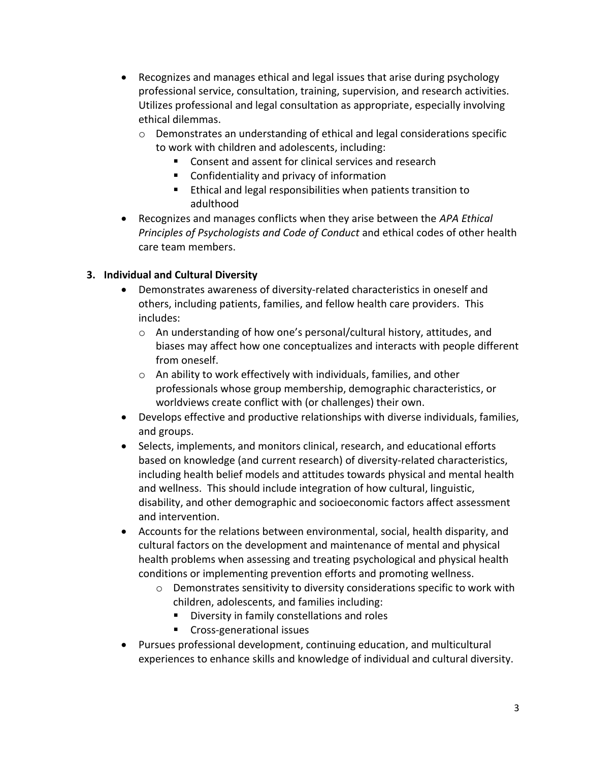- Recognizes and manages ethical and legal issues that arise during psychology professional service, consultation, training, supervision, and research activities. Utilizes professional and legal consultation as appropriate, especially involving ethical dilemmas.
	- $\circ$  Demonstrates an understanding of ethical and legal considerations specific to work with children and adolescents, including:
		- Consent and assent for clinical services and research
		- Confidentiality and privacy of information
		- **Ethical and legal responsibilities when patients transition to** adulthood
- Recognizes and manages conflicts when they arise between the *APA Ethical Principles of Psychologists and Code of Conduct* and ethical codes of other health care team members.

# **3. Individual and Cultural Diversity**

- Demonstrates awareness of diversity-related characteristics in oneself and others, including patients, families, and fellow health care providers. This includes:
	- o An understanding of how one's personal/cultural history, attitudes, and biases may affect how one conceptualizes and interacts with people different from oneself.
	- o An ability to work effectively with individuals, families, and other professionals whose group membership, demographic characteristics, or worldviews create conflict with (or challenges) their own.
- Develops effective and productive relationships with diverse individuals, families, and groups.
- Selects, implements, and monitors clinical, research, and educational efforts based on knowledge (and current research) of diversity-related characteristics, including health belief models and attitudes towards physical and mental health and wellness. This should include integration of how cultural, linguistic, disability, and other demographic and socioeconomic factors affect assessment and intervention.
- Accounts for the relations between environmental, social, health disparity, and cultural factors on the development and maintenance of mental and physical health problems when assessing and treating psychological and physical health conditions or implementing prevention efforts and promoting wellness.
	- o Demonstrates sensitivity to diversity considerations specific to work with children, adolescents, and families including:
		- **Diversity in family constellations and roles**
		- **Cross-generational issues**
- Pursues professional development, continuing education, and multicultural experiences to enhance skills and knowledge of individual and cultural diversity.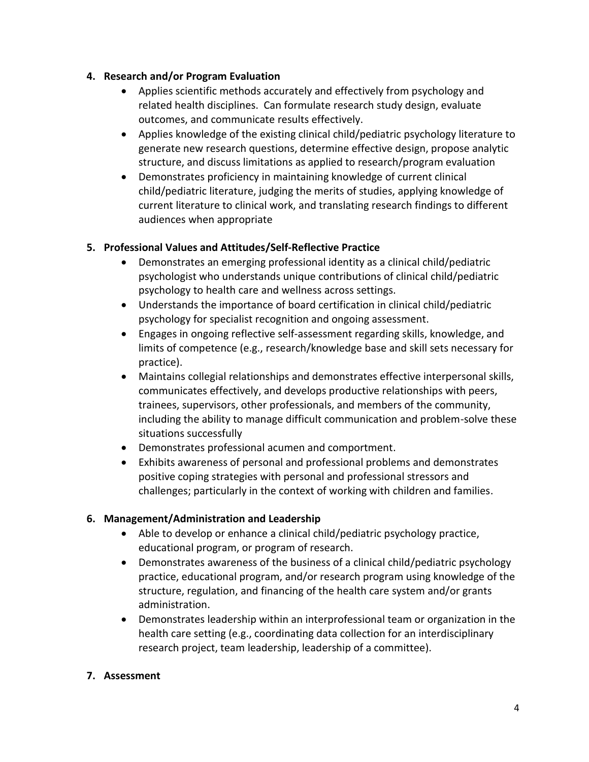#### **4. Research and/or Program Evaluation**

- Applies scientific methods accurately and effectively from psychology and related health disciplines. Can formulate research study design, evaluate outcomes, and communicate results effectively.
- Applies knowledge of the existing clinical child/pediatric psychology literature to generate new research questions, determine effective design, propose analytic structure, and discuss limitations as applied to research/program evaluation
- Demonstrates proficiency in maintaining knowledge of current clinical child/pediatric literature, judging the merits of studies, applying knowledge of current literature to clinical work, and translating research findings to different audiences when appropriate

# **5. Professional Values and Attitudes/Self-Reflective Practice**

- Demonstrates an emerging professional identity as a clinical child/pediatric psychologist who understands unique contributions of clinical child/pediatric psychology to health care and wellness across settings.
- Understands the importance of board certification in clinical child/pediatric psychology for specialist recognition and ongoing assessment.
- Engages in ongoing reflective self-assessment regarding skills, knowledge, and limits of competence (e.g., research/knowledge base and skill sets necessary for practice).
- Maintains collegial relationships and demonstrates effective interpersonal skills, communicates effectively, and develops productive relationships with peers, trainees, supervisors, other professionals, and members of the community, including the ability to manage difficult communication and problem-solve these situations successfully
- Demonstrates professional acumen and comportment.
- Exhibits awareness of personal and professional problems and demonstrates positive coping strategies with personal and professional stressors and challenges; particularly in the context of working with children and families.

# **6. Management/Administration and Leadership**

- Able to develop or enhance a clinical child/pediatric psychology practice, educational program, or program of research.
- Demonstrates awareness of the business of a clinical child/pediatric psychology practice, educational program, and/or research program using knowledge of the structure, regulation, and financing of the health care system and/or grants administration.
- Demonstrates leadership within an interprofessional team or organization in the health care setting (e.g., coordinating data collection for an interdisciplinary research project, team leadership, leadership of a committee).

# **7. Assessment**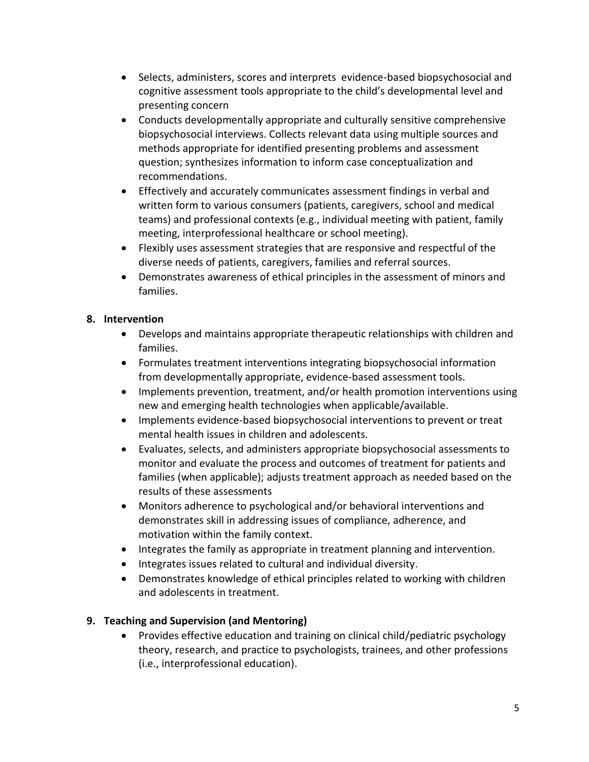- Selects, administers, scores and interprets evidence-based biopsychosocial and cognitive assessment tools appropriate to the child's developmental level and presenting concern
- Conducts developmentally appropriate and culturally sensitive comprehensive biopsychosocial interviews. Collects relevant data using multiple sources and methods appropriate for identified presenting problems and assessment question; synthesizes information to inform case conceptualization and recommendations.
- Effectively and accurately communicates assessment findings in verbal and written form to various consumers (patients, caregivers, school and medical teams) and professional contexts (e.g., individual meeting with patient, family meeting, interprofessional healthcare or school meeting).
- Flexibly uses assessment strategies that are responsive and respectful of the diverse needs of patients, caregivers, families and referral sources.
- Demonstrates awareness of ethical principles in the assessment of minors and families.

#### **8. Intervention**

- Develops and maintains appropriate therapeutic relationships with children and families.
- Formulates treatment interventions integrating biopsychosocial information from developmentally appropriate, evidence-based assessment tools.
- Implements prevention, treatment, and/or health promotion interventions using new and emerging health technologies when applicable/available.
- Implements evidence-based biopsychosocial interventions to prevent or treat mental health issues in children and adolescents.
- Evaluates, selects, and administers appropriate biopsychosocial assessments to monitor and evaluate the process and outcomes of treatment for patients and families (when applicable); adjusts treatment approach as needed based on the results of these assessments
- Monitors adherence to psychological and/or behavioral interventions and demonstrates skill in addressing issues of compliance, adherence, and motivation within the family context.
- Integrates the family as appropriate in treatment planning and intervention.
- Integrates issues related to cultural and individual diversity.
- Demonstrates knowledge of ethical principles related to working with children and adolescents in treatment.

# **9. Teaching and Supervision (and Mentoring)**

 Provides effective education and training on clinical child/pediatric psychology theory, research, and practice to psychologists, trainees, and other professions (i.e., interprofessional education).